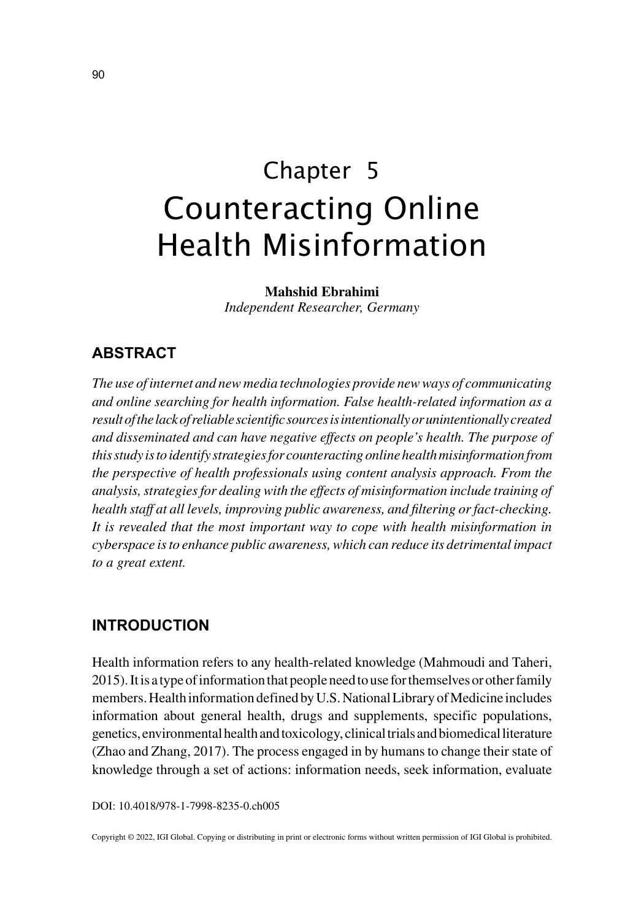# Chapter 5 Counteracting Online Health Misinformation

**Mahshid Ebrahimi** *Independent Researcher, Germany*

## **ABSTRACT**

*The use of internet and new media technologies provide new ways of communicating and online searching for health information. False health-related information as a result of the lack of reliable scientific sources is intentionally or unintentionally created and disseminated and can have negative effects on people's health. The purpose of this study is to identify strategies for counteracting online health misinformation from the perspective of health professionals using content analysis approach. From the analysis, strategies for dealing with the effects of misinformation include training of health staff at all levels, improving public awareness, and filtering or fact-checking. It is revealed that the most important way to cope with health misinformation in cyberspace is to enhance public awareness, which can reduce its detrimental impact to a great extent.*

### **INTRODUCTION**

Health information refers to any health-related knowledge (Mahmoudi and Taheri, 2015). It is a type of information that people need to use for themselves or other family members. Health information defined by U.S. National Library of Medicine includes information about general health, drugs and supplements, specific populations, genetics, environmental health and toxicology, clinical trials and biomedical literature (Zhao and Zhang, 2017). The process engaged in by humans to change their state of knowledge through a set of actions: information needs, seek information, evaluate

DOI: 10.4018/978-1-7998-8235-0.ch005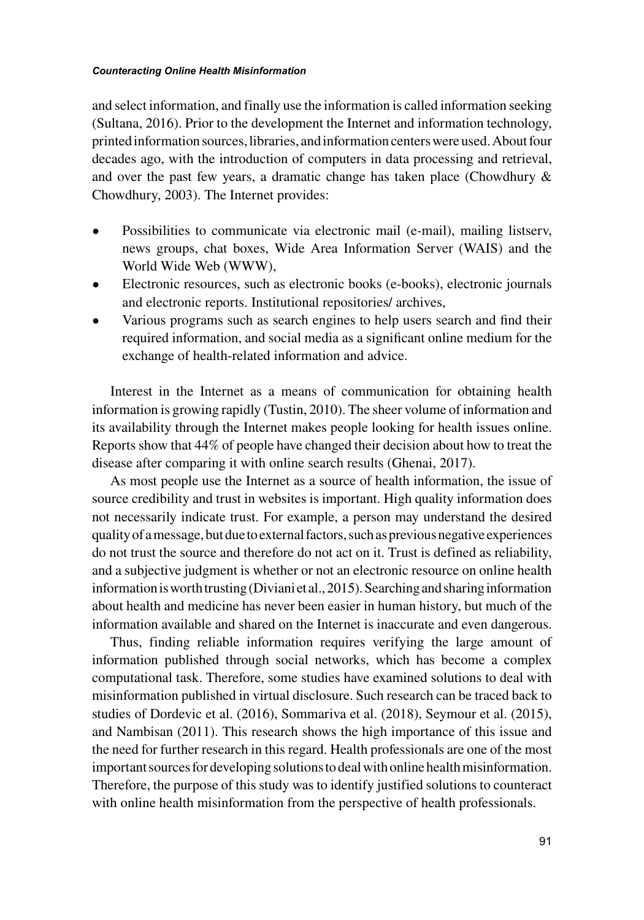#### *Counteracting Online Health Misinformation*

and select information, and finally use the information is called information seeking (Sultana, 2016). Prior to the development the Internet and information technology, printed information sources, libraries, and information centers were used. About four decades ago, with the introduction of computers in data processing and retrieval, and over the past few years, a dramatic change has taken place (Chowdhury  $\&$ Chowdhury, 2003). The Internet provides:

- Possibilities to communicate via electronic mail (e-mail), mailing listserv, news groups, chat boxes, Wide Area Information Server (WAIS) and the World Wide Web (WWW),
- Electronic resources, such as electronic books (e-books), electronic journals and electronic reports. Institutional repositories/ archives,
- Various programs such as search engines to help users search and find their required information, and social media as a significant online medium for the exchange of health-related information and advice.

Interest in the Internet as a means of communication for obtaining health information is growing rapidly (Tustin, 2010). The sheer volume of information and its availability through the Internet makes people looking for health issues online. Reports show that 44% of people have changed their decision about how to treat the disease after comparing it with online search results (Ghenai, 2017).

As most people use the Internet as a source of health information, the issue of source credibility and trust in websites is important. High quality information does not necessarily indicate trust. For example, a person may understand the desired quality of a message, but due to external factors, such as previous negative experiences do not trust the source and therefore do not act on it. Trust is defined as reliability, and a subjective judgment is whether or not an electronic resource on online health information is worth trusting (Diviani et al., 2015). Searching and sharing information about health and medicine has never been easier in human history, but much of the information available and shared on the Internet is inaccurate and even dangerous.

Thus, finding reliable information requires verifying the large amount of information published through social networks, which has become a complex computational task. Therefore, some studies have examined solutions to deal with misinformation published in virtual disclosure. Such research can be traced back to studies of Dordevic et al. (2016), Sommariva et al. (2018), Seymour et al. (2015), and Nambisan (2011). This research shows the high importance of this issue and the need for further research in this regard. Health professionals are one of the most important sources for developing solutions to deal with online health misinformation. Therefore, the purpose of this study was to identify justified solutions to counteract with online health misinformation from the perspective of health professionals.